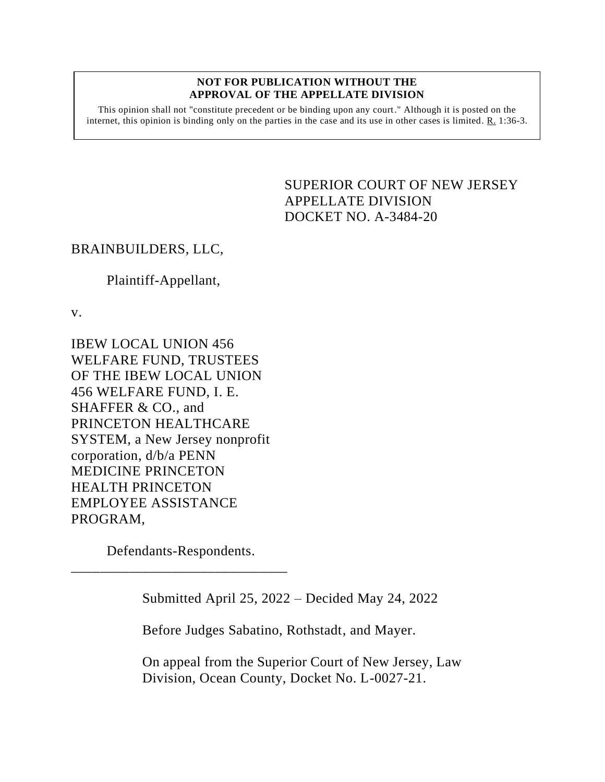## **NOT FOR PUBLICATION WITHOUT THE APPROVAL OF THE APPELLATE DIVISION**

This opinion shall not "constitute precedent or be binding upon any court." Although it is posted on the internet, this opinion is binding only on the parties in the case and its use in other cases is limited. R. 1:36-3.

> <span id="page-0-0"></span>SUPERIOR COURT OF NEW JERSEY APPELLATE DIVISION DOCKET NO. A-3484-20

## BRAINBUILDERS, LLC,

## Plaintiff-Appellant,

v.

IBEW LOCAL UNION 456 WELFARE FUND, TRUSTEES OF THE IBEW LOCAL UNION 456 WELFARE FUND, I. E. SHAFFER & CO., and PRINCETON HEALTHCARE SYSTEM, a New Jersey nonprofit corporation, d/b/a PENN MEDICINE PRINCETON HEALTH PRINCETON EMPLOYEE ASSISTANCE PROGRAM,

Defendants-Respondents. \_\_\_\_\_\_\_\_\_\_\_\_\_\_\_\_\_\_\_\_\_\_\_\_\_\_\_\_\_\_

Submitted April 25, 2022 – Decided May 24, 2022

Before Judges Sabatino, Rothstadt, and Mayer.

On appeal from the Superior Court of New Jersey, Law Division, Ocean County, Docket No. L-0027-21.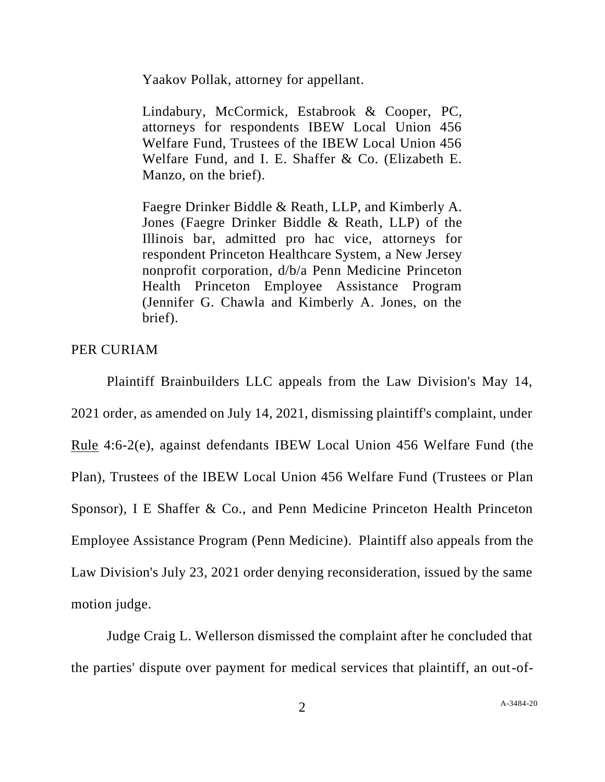Yaakov Pollak, attorney for appellant.

Lindabury, McCormick, Estabrook & Cooper, PC, attorneys for respondents IBEW Local Union 456 Welfare Fund, Trustees of the IBEW Local Union 456 Welfare Fund, and I. E. Shaffer & Co. (Elizabeth E. Manzo, on the brief).

Faegre Drinker Biddle & Reath, LLP, and Kimberly A. Jones (Faegre Drinker Biddle & Reath, LLP) of the Illinois bar, admitted pro hac vice, attorneys for respondent Princeton Healthcare System, a New Jersey nonprofit corporation, d/b/a Penn Medicine Princeton Health Princeton Employee Assistance Program (Jennifer G. Chawla and Kimberly A. Jones, on the brief).

PER CURIAM

Plaintiff Brainbuilders LLC appeals from the Law Division's May 14, 2021 order, as amended on July 14, 2021, dismissing plaintiff's complaint, under Rule 4:6-2(e), against defendants IBEW Local Union 456 Welfare Fund (the Plan), Trustees of the IBEW Local Union 456 Welfare Fund (Trustees or Plan Sponsor), I E Shaffer & Co., and Penn Medicine Princeton Health Princeton Employee Assistance Program (Penn Medicine). Plaintiff also appeals from the Law Division's July 23, 2021 order denying reconsideration, issued by the same motion judge.

Judge Craig L. Wellerson dismissed the complaint after he concluded that the parties' dispute over payment for medical services that plaintiff, an out-of-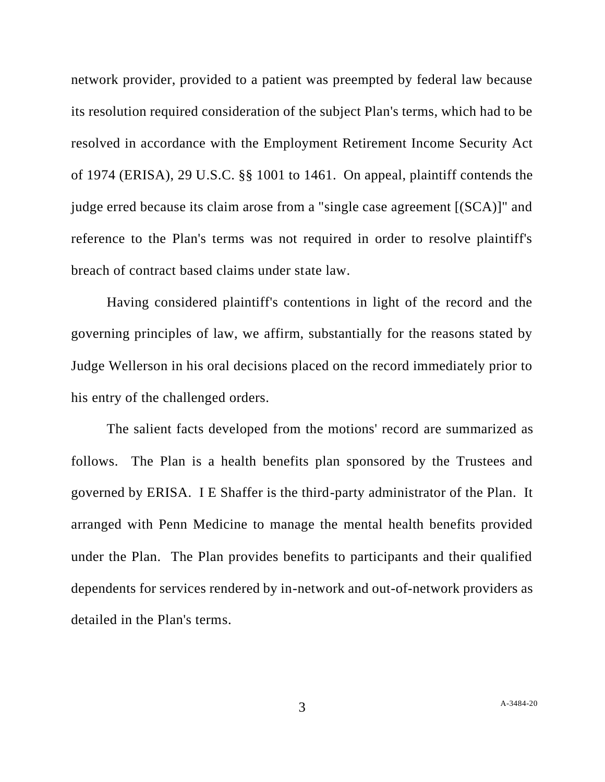network provider, provided to a patient was preempted by federal law because its resolution required consideration of the subject Plan's terms, which had to be resolved in accordance with the Employment Retirement Income Security Act of 1974 (ERISA), 29 U.S.C. §§ 1001 to 1461. On appeal, plaintiff contends the judge erred because its claim arose from a "single case agreement [(SCA)]" and reference to the Plan's terms was not required in order to resolve plaintiff's breach of contract based claims under state law.

Having considered plaintiff's contentions in light of the record and the governing principles of law, we affirm, substantially for the reasons stated by Judge Wellerson in his oral decisions placed on the record immediately prior to his entry of the challenged orders.

The salient facts developed from the motions' record are summarized as follows. The Plan is a health benefits plan sponsored by the Trustees and governed by ERISA. I E Shaffer is the third-party administrator of the Plan. It arranged with Penn Medicine to manage the mental health benefits provided under the Plan. The Plan provides benefits to participants and their qualified dependents for services rendered by in-network and out-of-network providers as detailed in the Plan's terms.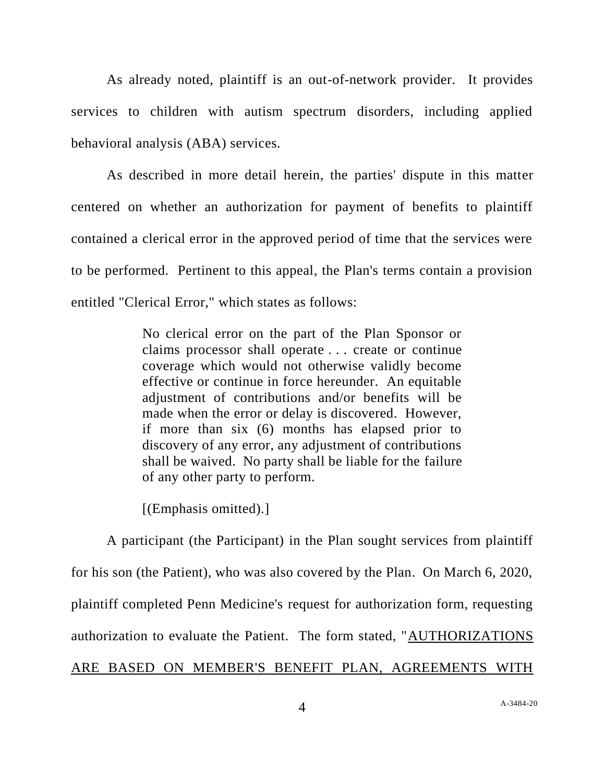As already noted, plaintiff is an out-of-network provider. It provides services to children with autism spectrum disorders, including applied behavioral analysis (ABA) services.

As described in more detail herein, the parties' dispute in this matter centered on whether an authorization for payment of benefits to plaintiff contained a clerical error in the approved period of time that the services were to be performed. Pertinent to this appeal, the Plan's terms contain a provision entitled "Clerical Error," which states as follows:

> No clerical error on the part of the Plan Sponsor or claims processor shall operate . . . create or continue coverage which would not otherwise validly become effective or continue in force hereunder. An equitable adjustment of contributions and/or benefits will be made when the error or delay is discovered. However, if more than six (6) months has elapsed prior to discovery of any error, any adjustment of contributions shall be waived. No party shall be liable for the failure of any other party to perform.

[(Emphasis omitted).]

A participant (the Participant) in the Plan sought services from plaintiff for his son (the Patient), who was also covered by the Plan. On March 6, 2020, plaintiff completed Penn Medicine's request for authorization form, requesting authorization to evaluate the Patient. The form stated, "AUTHORIZATIONS ARE BASED ON MEMBER'S BENEFIT PLAN, AGREEMENTS WITH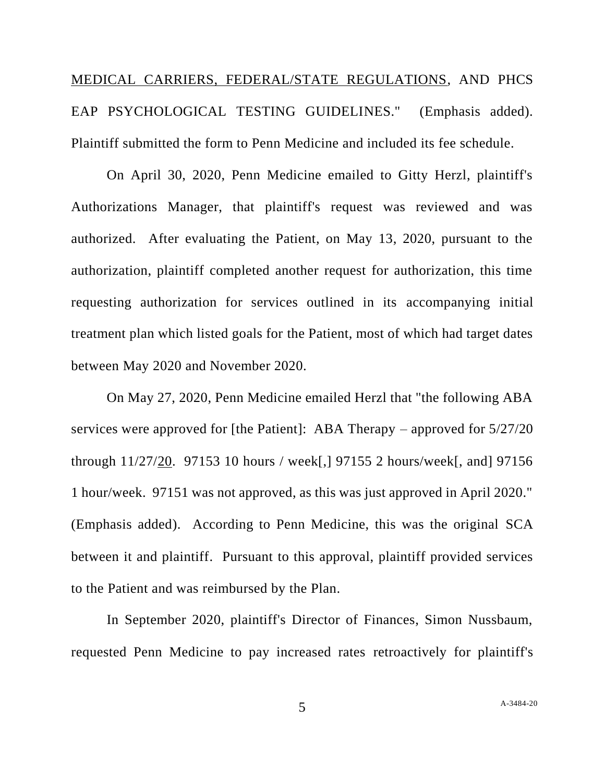MEDICAL CARRIERS, FEDERAL/STATE REGULATIONS, AND PHCS EAP PSYCHOLOGICAL TESTING GUIDELINES." (Emphasis added). Plaintiff submitted the form to Penn Medicine and included its fee schedule.

On April 30, 2020, Penn Medicine emailed to Gitty Herzl, plaintiff's Authorizations Manager, that plaintiff's request was reviewed and was authorized. After evaluating the Patient, on May 13, 2020, pursuant to the authorization, plaintiff completed another request for authorization, this time requesting authorization for services outlined in its accompanying initial treatment plan which listed goals for the Patient, most of which had target dates between May 2020 and November 2020.

On May 27, 2020, Penn Medicine emailed Herzl that "the following ABA services were approved for [the Patient]: ABA Therapy – approved for 5/27/20 through 11/27/20. 97153 10 hours / week[,] 97155 2 hours/week[, and] 97156 1 hour/week. 97151 was not approved, as this was just approved in April 2020." (Emphasis added). According to Penn Medicine, this was the original SCA between it and plaintiff. Pursuant to this approval, plaintiff provided services to the Patient and was reimbursed by the Plan.

In September 2020, plaintiff's Director of Finances, Simon Nussbaum, requested Penn Medicine to pay increased rates retroactively for plaintiff's

5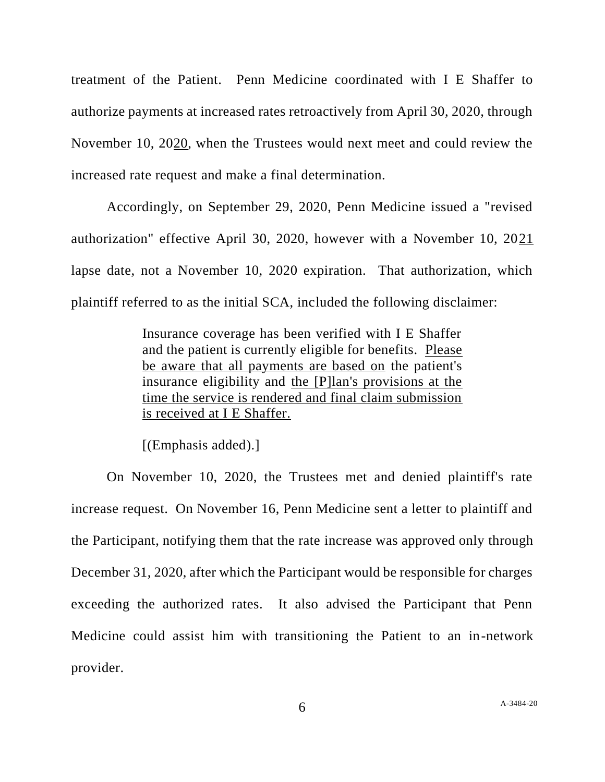treatment of the Patient. Penn Medicine coordinated with I E Shaffer to authorize payments at increased rates retroactively from April 30, 2020, through November 10, 2020, when the Trustees would next meet and could review the increased rate request and make a final determination.

Accordingly, on September 29, 2020, Penn Medicine issued a "revised authorization" effective April 30, 2020, however with a November 10, 2021 lapse date, not a November 10, 2020 expiration. That authorization, which plaintiff referred to as the initial SCA, included the following disclaimer:

> Insurance coverage has been verified with I E Shaffer and the patient is currently eligible for benefits. Please be aware that all payments are based on the patient's insurance eligibility and the [P]lan's provisions at the time the service is rendered and final claim submission is received at I E Shaffer.

[(Emphasis added).]

On November 10, 2020, the Trustees met and denied plaintiff's rate increase request. On November 16, Penn Medicine sent a letter to plaintiff and the Participant, notifying them that the rate increase was approved only through December 31, 2020, after which the Participant would be responsible for charges exceeding the authorized rates. It also advised the Participant that Penn Medicine could assist him with transitioning the Patient to an in-network provider.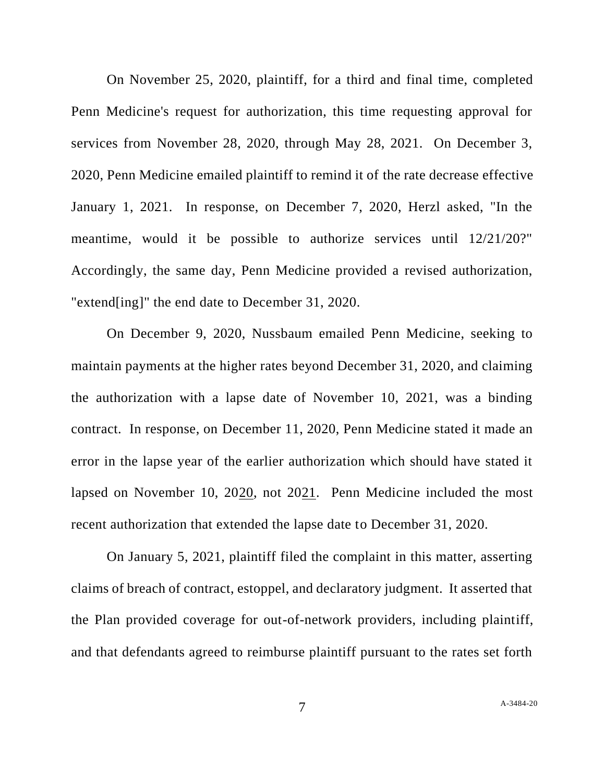On November 25, 2020, plaintiff, for a third and final time, completed Penn Medicine's request for authorization, this time requesting approval for services from November 28, 2020, through May 28, 2021. On December 3, 2020, Penn Medicine emailed plaintiff to remind it of the rate decrease effective January 1, 2021. In response, on December 7, 2020, Herzl asked, "In the meantime, would it be possible to authorize services until 12/21/20?" Accordingly, the same day, Penn Medicine provided a revised authorization, "extend[ing]" the end date to December 31, 2020.

On December 9, 2020, Nussbaum emailed Penn Medicine, seeking to maintain payments at the higher rates beyond December 31, 2020, and claiming the authorization with a lapse date of November 10, 2021, was a binding contract. In response, on December 11, 2020, Penn Medicine stated it made an error in the lapse year of the earlier authorization which should have stated it lapsed on November 10, 2020, not 2021. Penn Medicine included the most recent authorization that extended the lapse date to December 31, 2020.

On January 5, 2021, plaintiff filed the complaint in this matter, asserting claims of breach of contract, estoppel, and declaratory judgment. It asserted that the Plan provided coverage for out-of-network providers, including plaintiff, and that defendants agreed to reimburse plaintiff pursuant to the rates set forth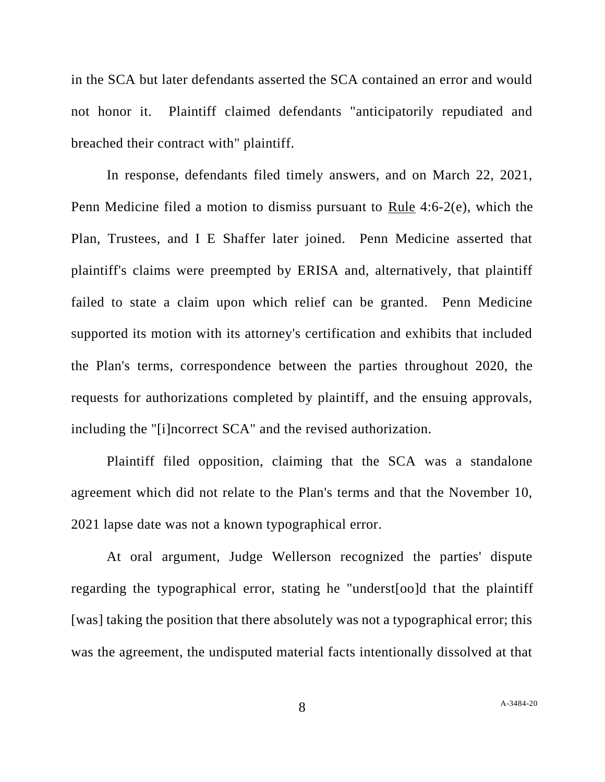in the SCA but later defendants asserted the SCA contained an error and would not honor it. Plaintiff claimed defendants "anticipatorily repudiated and breached their contract with" plaintiff.

In response, defendants filed timely answers, and on March 22, 2021, Penn Medicine filed a motion to dismiss pursuant to Rule 4:6-2(e), which the Plan, Trustees, and I E Shaffer later joined. Penn Medicine asserted that plaintiff's claims were preempted by ERISA and, alternatively, that plaintiff failed to state a claim upon which relief can be granted. Penn Medicine supported its motion with its attorney's certification and exhibits that included the Plan's terms, correspondence between the parties throughout 2020, the requests for authorizations completed by plaintiff, and the ensuing approvals, including the "[i]ncorrect SCA" and the revised authorization.

Plaintiff filed opposition, claiming that the SCA was a standalone agreement which did not relate to the Plan's terms and that the November 10, 2021 lapse date was not a known typographical error.

At oral argument, Judge Wellerson recognized the parties' dispute regarding the typographical error, stating he "underst[oo]d that the plaintiff [was] taking the position that there absolutely was not a typographical error; this was the agreement, the undisputed material facts intentionally dissolved at that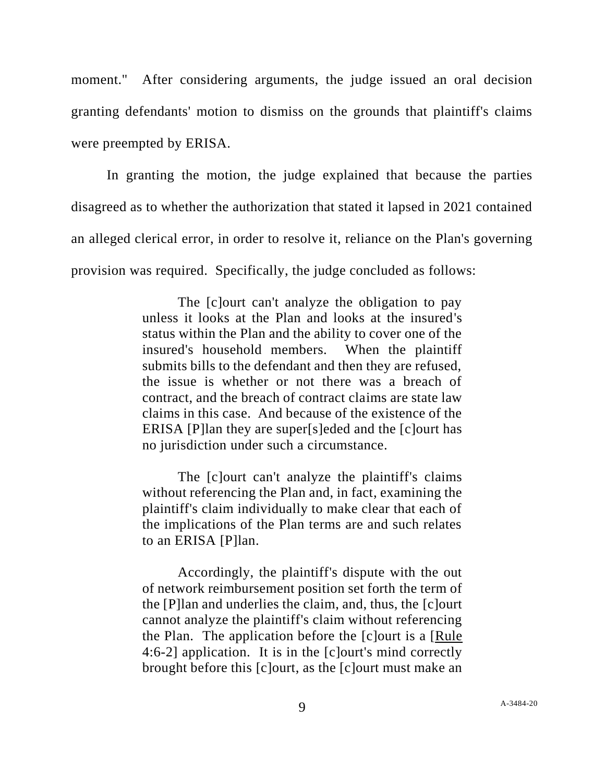moment." After considering arguments, the judge issued an oral decision granting defendants' motion to dismiss on the grounds that plaintiff's claims were preempted by ERISA.

In granting the motion, the judge explained that because the parties disagreed as to whether the authorization that stated it lapsed in 2021 contained an alleged clerical error, in order to resolve it, reliance on the Plan's governing provision was required. Specifically, the judge concluded as follows:

> The [c]ourt can't analyze the obligation to pay unless it looks at the Plan and looks at the insured's status within the Plan and the ability to cover one of the insured's household members. When the plaintiff submits bills to the defendant and then they are refused, the issue is whether or not there was a breach of contract, and the breach of contract claims are state law claims in this case. And because of the existence of the ERISA [P]lan they are super[s]eded and the [c]ourt has no jurisdiction under such a circumstance.

> The [c]ourt can't analyze the plaintiff's claims without referencing the Plan and, in fact, examining the plaintiff's claim individually to make clear that each of the implications of the Plan terms are and such relates to an ERISA [P]lan.

> Accordingly, the plaintiff's dispute with the out of network reimbursement position set forth the term of the [P]lan and underlies the claim, and, thus, the [c]ourt cannot analyze the plaintiff's claim without referencing the Plan. The application before the [c]ourt is a [Rule 4:6-2] application. It is in the [c]ourt's mind correctly brought before this [c]ourt, as the [c]ourt must make an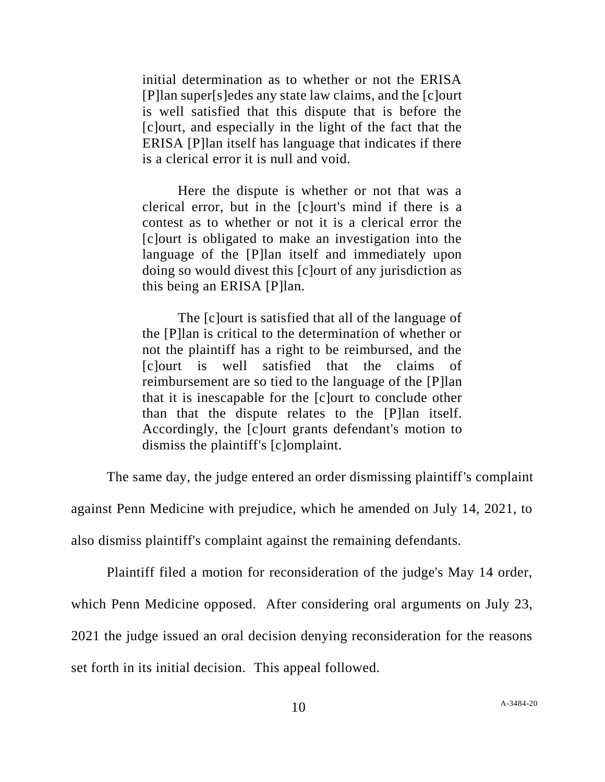initial determination as to whether or not the ERISA [P]lan super[s]edes any state law claims, and the [c]ourt is well satisfied that this dispute that is before the [c]ourt, and especially in the light of the fact that the ERISA [P]lan itself has language that indicates if there is a clerical error it is null and void.

Here the dispute is whether or not that was a clerical error, but in the [c]ourt's mind if there is a contest as to whether or not it is a clerical error the [c]ourt is obligated to make an investigation into the language of the [P]lan itself and immediately upon doing so would divest this [c]ourt of any jurisdiction as this being an ERISA [P]lan.

The [c]ourt is satisfied that all of the language of the [P]lan is critical to the determination of whether or not the plaintiff has a right to be reimbursed, and the [c]ourt is well satisfied that the claims of reimbursement are so tied to the language of the [P]lan that it is inescapable for the [c]ourt to conclude other than that the dispute relates to the [P]lan itself. Accordingly, the [c]ourt grants defendant's motion to dismiss the plaintiff's [c]omplaint.

The same day, the judge entered an order dismissing plaintiff's complaint

against Penn Medicine with prejudice, which he amended on July 14, 2021, to

also dismiss plaintiff's complaint against the remaining defendants.

Plaintiff filed a motion for reconsideration of the judge's May 14 order,

which Penn Medicine opposed. After considering oral arguments on July 23,

2021 the judge issued an oral decision denying reconsideration for the reasons

set forth in its initial decision. This appeal followed.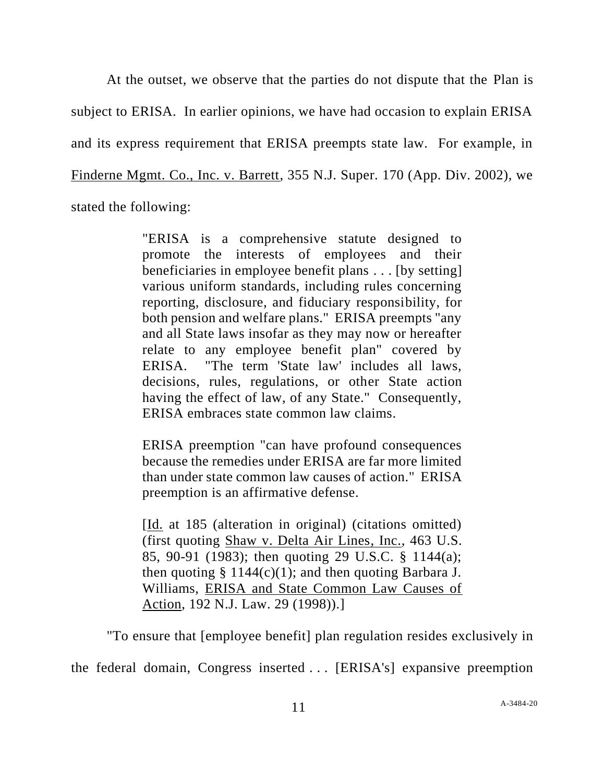At the outset, we observe that the parties do not dispute that the Plan is subject to ERISA. In earlier opinions, we have had occasion to explain ERISA and its express requirement that ERISA preempts state law. For example, in Finderne Mgmt. Co., Inc. v. Barrett, 355 N.J. Super. 170 (App. Div. 2002), we stated the following:

> "ERISA is a comprehensive statute designed to promote the interests of employees and their beneficiaries in employee benefit plans . . . [by setting] various uniform standards, including rules concerning reporting, disclosure, and fiduciary responsibility, for both pension and welfare plans." ERISA preempts "any and all State laws insofar as they may now or hereafter relate to any employee benefit plan" covered by ERISA. "The term 'State law' includes all laws, decisions, rules, regulations, or other State action having the effect of law, of any State." Consequently, ERISA embraces state common law claims.

> ERISA preemption "can have profound consequences because the remedies under ERISA are far more limited than under state common law causes of action." ERISA preemption is an affirmative defense.

> [Id. at 185 (alteration in original) (citations omitted) (first quoting Shaw v. Delta Air Lines, Inc., 463 U.S. 85, 90-91 (1983); then quoting 29 U.S.C. § 1144(a); then quoting  $\S 1144(c)(1)$ ; and then quoting Barbara J. Williams, ERISA and State Common Law Causes of Action, 192 N.J. Law. 29 (1998)).]

"To ensure that [employee benefit] plan regulation resides exclusively in

the federal domain, Congress inserted . . . [ERISA's] expansive preemption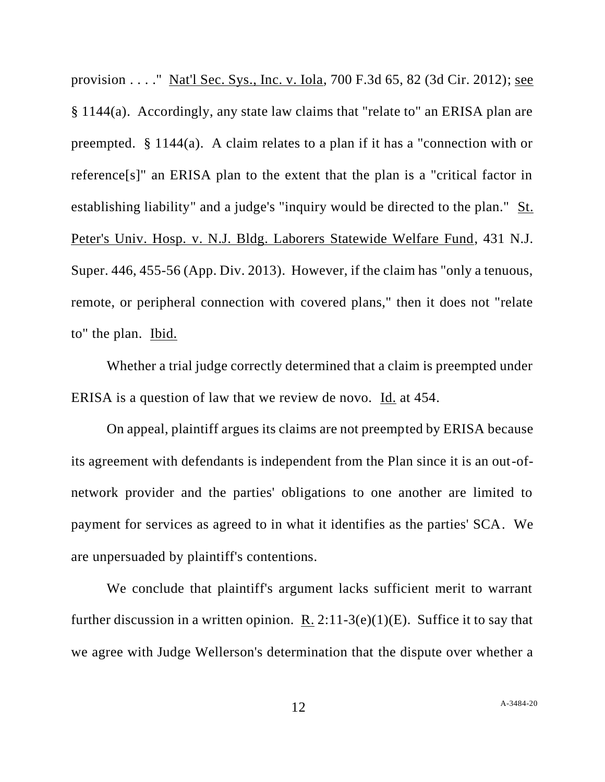provision . . . ." Nat'l Sec. Sys., Inc. v. Iola, 700 F.3d 65, 82 (3d Cir. 2012); see § 1144(a). Accordingly, any state law claims that "relate to" an ERISA plan are preempted. § 1144(a). A claim relates to a plan if it has a "connection with or reference[s]" an ERISA plan to the extent that the plan is a "critical factor in establishing liability" and a judge's "inquiry would be directed to the plan." St. Peter's Univ. Hosp. v. N.J. Bldg. Laborers Statewide Welfare Fund, 431 N.J. Super. 446, 455-56 (App. Div. 2013). However, if the claim has "only a tenuous, remote, or peripheral connection with covered plans," then it does not "relate to" the plan. Ibid.

Whether a trial judge correctly determined that a claim is preempted under ERISA is a question of law that we review de novo. Id. at 454.

On appeal, plaintiff argues its claims are not preempted by ERISA because its agreement with defendants is independent from the Plan since it is an out-ofnetwork provider and the parties' obligations to one another are limited to payment for services as agreed to in what it identifies as the parties' SCA. We are unpersuaded by plaintiff's contentions.

We conclude that plaintiff's argument lacks sufficient merit to warrant further discussion in a written opinion. R. 2:11-3(e)(1)(E). Suffice it to say that we agree with Judge Wellerson's determination that the dispute over whether a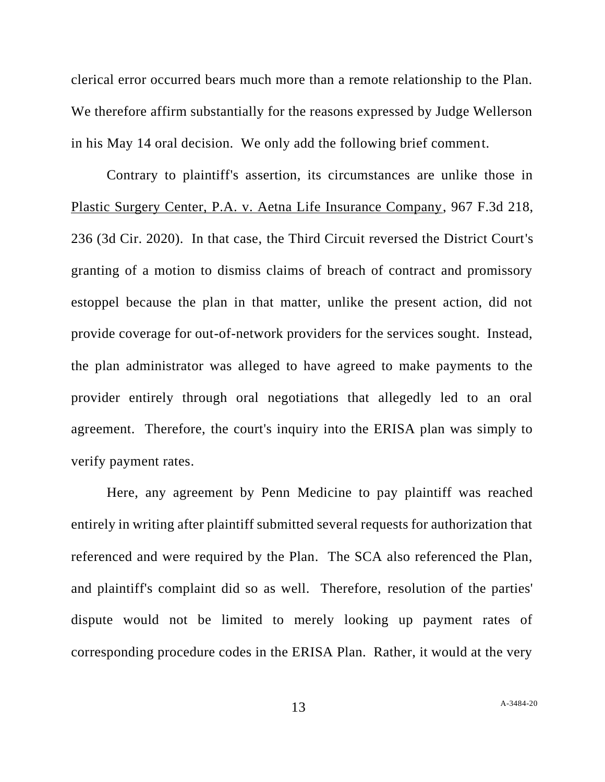clerical error occurred bears much more than a remote relationship to the Plan. We therefore affirm substantially for the reasons expressed by Judge Wellerson in his May 14 oral decision. We only add the following brief comment.

Contrary to plaintiff's assertion, its circumstances are unlike those in Plastic Surgery Center, P.A. v. Aetna Life Insurance Company, 967 F.3d 218, 236 (3d Cir. 2020). In that case, the Third Circuit reversed the District Court's granting of a motion to dismiss claims of breach of contract and promissory estoppel because the plan in that matter, unlike the present action, did not provide coverage for out-of-network providers for the services sought. Instead, the plan administrator was alleged to have agreed to make payments to the provider entirely through oral negotiations that allegedly led to an oral agreement. Therefore, the court's inquiry into the ERISA plan was simply to verify payment rates.

Here, any agreement by Penn Medicine to pay plaintiff was reached entirely in writing after plaintiff submitted several requests for authorization that referenced and were required by the Plan. The SCA also referenced the Plan, and plaintiff's complaint did so as well. Therefore, resolution of the parties' dispute would not be limited to merely looking up payment rates of corresponding procedure codes in the ERISA Plan. Rather, it would at the very